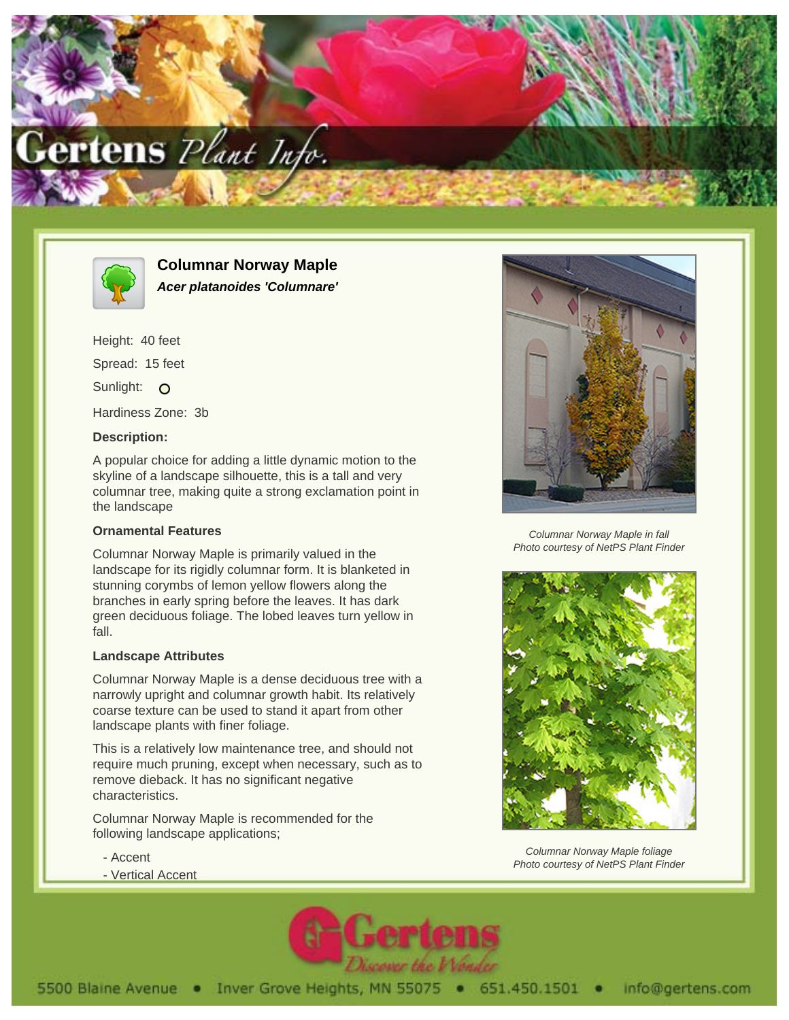



**Columnar Norway Maple Acer platanoides 'Columnare'**

Height: 40 feet Spread: 15 feet Sunlight: O Hardiness Zone: 3b

### **Description:**

A popular choice for adding a little dynamic motion to the skyline of a landscape silhouette, this is a tall and very columnar tree, making quite a strong exclamation point in the landscape

# **Ornamental Features**

Columnar Norway Maple is primarily valued in the landscape for its rigidly columnar form. It is blanketed in stunning corymbs of lemon yellow flowers along the branches in early spring before the leaves. It has dark green deciduous foliage. The lobed leaves turn yellow in fall.

#### **Landscape Attributes**

Columnar Norway Maple is a dense deciduous tree with a narrowly upright and columnar growth habit. Its relatively coarse texture can be used to stand it apart from other landscape plants with finer foliage.

This is a relatively low maintenance tree, and should not require much pruning, except when necessary, such as to remove dieback. It has no significant negative characteristics.

Columnar Norway Maple is recommended for the following landscape applications;

- Accent
- Vertical Accent



Columnar Norway Maple in fall Photo courtesy of NetPS Plant Finder



Columnar Norway Maple foliage Photo courtesy of NetPS Plant Finder